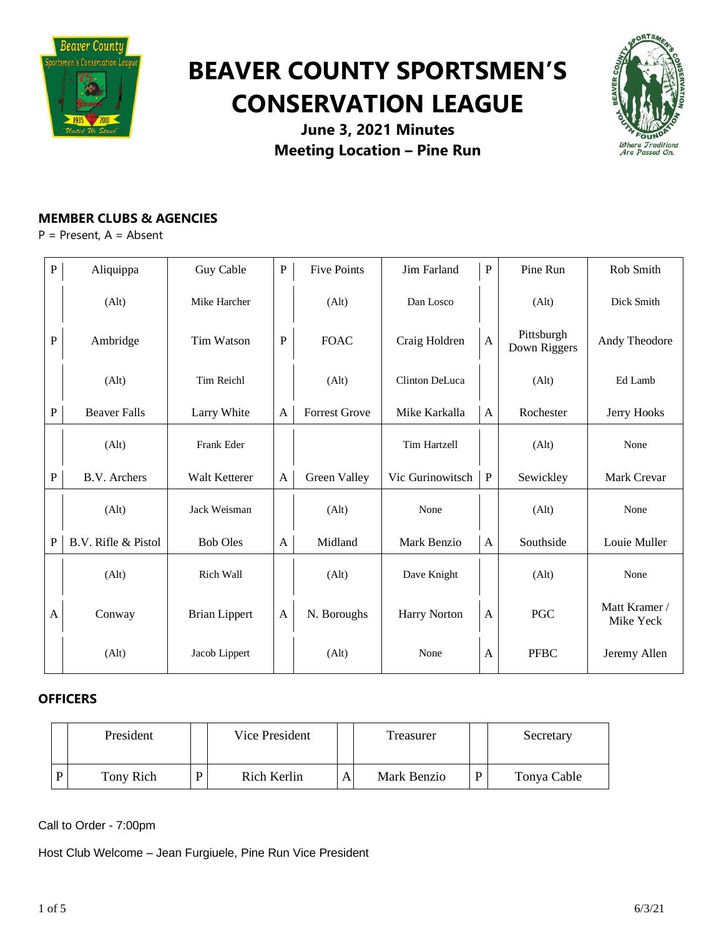

# **BEAVER COUNTY SPORTSMEN'S CONSERVATION LEAGUE**



**June 3, 2021 Minutes Meeting Location – Pine Run**

# **MEMBER CLUBS & AGENCIES**

P = Present, A = Absent

| ${\bf P}$    | Aliquippa           | Guy Cable            | $\mathbf P$  | <b>Five Points</b>   | Jim Farland         | $\, {\bf P}$              | Pine Run                   | Rob Smith                  |
|--------------|---------------------|----------------------|--------------|----------------------|---------------------|---------------------------|----------------------------|----------------------------|
|              | (Alt)               | Mike Harcher         |              | (Alt)                | Dan Losco           |                           | (Alt)                      | Dick Smith                 |
| ${\bf P}$    | Ambridge            | Tim Watson           | $\mathbf P$  | <b>FOAC</b>          | Craig Holdren       | $\boldsymbol{\mathsf{A}}$ | Pittsburgh<br>Down Riggers | Andy Theodore              |
|              | (Alt)               | Tim Reichl           |              | (Alt)                | Clinton DeLuca      |                           | (Alt)                      | Ed Lamb                    |
| $\mathbf{P}$ | <b>Beaver Falls</b> | Larry White          | A            | <b>Forrest Grove</b> | Mike Karkalla       | A                         | Rochester                  | Jerry Hooks                |
|              | (Alt)               | Frank Eder           |              |                      | <b>Tim Hartzell</b> |                           | (Alt)                      | None                       |
| $\mathbf{P}$ | B.V. Archers        | Walt Ketterer        | $\mathbf{A}$ | Green Valley         | Vic Gurinowitsch    | ${\bf P}$                 | Sewickley                  | Mark Crevar                |
|              | (Alt)               | Jack Weisman         |              | (Alt)                | None                |                           | (Alt)                      | None                       |
| $\mathbf{P}$ | B.V. Rifle & Pistol | <b>Bob Oles</b>      | A            | Midland              | Mark Benzio         | A                         | Southside                  | Louie Muller               |
|              | (Alt)               | Rich Wall            |              | (Alt)                | Dave Knight         |                           | (Alt)                      | None                       |
| A            | Conway              | <b>Brian Lippert</b> | $\mathbf{A}$ | N. Boroughs          | <b>Harry Norton</b> | A                         | <b>PGC</b>                 | Matt Kramer /<br>Mike Yeck |
|              | (Alt)               | Jacob Lippert        |              | (Alt)                | None                | A                         | <b>PFBC</b>                | Jeremy Allen               |

# **OFFICERS**

| President |   | Vice President |  |             | Secretary   |
|-----------|---|----------------|--|-------------|-------------|
| Tony Rich | D | Rich Kerlin    |  | Mark Benzio | Tonya Cable |

Call to Order - 7:00pm

Host Club Welcome – Jean Furgiuele, Pine Run Vice President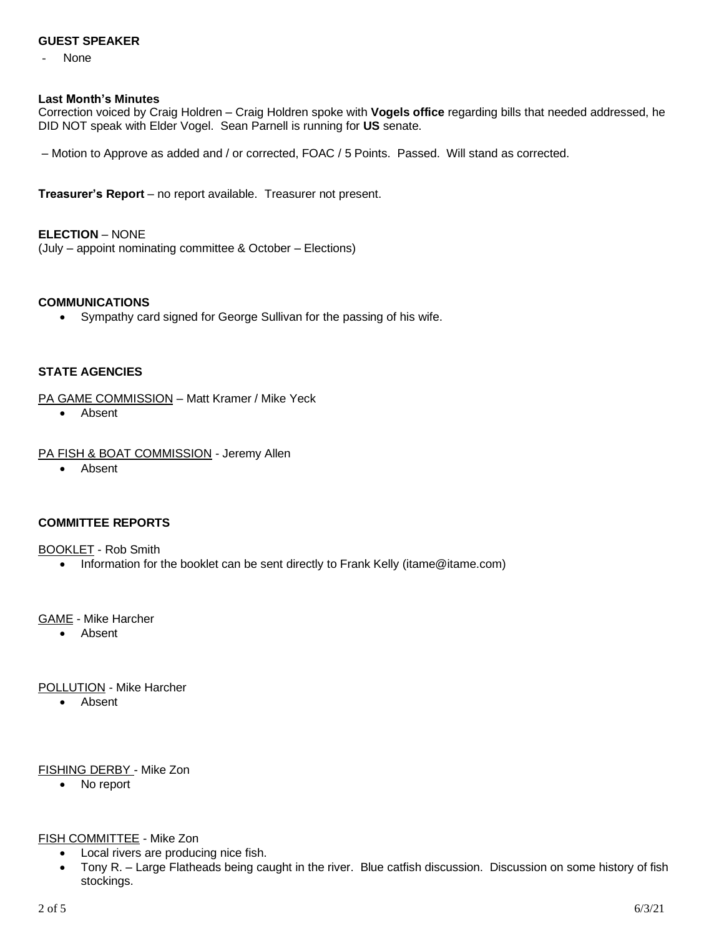#### **GUEST SPEAKER**

None

#### **Last Month's Minutes**

Correction voiced by Craig Holdren – Craig Holdren spoke with **Vogels office** regarding bills that needed addressed, he DID NOT speak with Elder Vogel. Sean Parnell is running for **US** senate.

– Motion to Approve as added and / or corrected, FOAC / 5 Points. Passed. Will stand as corrected.

**Treasurer's Report** – no report available. Treasurer not present.

**ELECTION** – NONE

(July – appoint nominating committee & October – Elections)

#### **COMMUNICATIONS**

• Sympathy card signed for George Sullivan for the passing of his wife.

# **STATE AGENCIES**

PA GAME COMMISSION – Matt Kramer / Mike Yeck

- Absent
- PA FISH & BOAT COMMISSION Jeremy Allen
	- Absent

# **COMMITTEE REPORTS**

BOOKLET - Rob Smith

• Information for the booklet can be sent directly to Frank Kelly (itame@itame.com)

# GAME - Mike Harcher

• Absent

POLLUTION - Mike Harcher

• Absent

#### FISHING DERBY - Mike Zon

• No report

#### FISH COMMITTEE - Mike Zon

- Local rivers are producing nice fish.
- Tony R. Large Flatheads being caught in the river. Blue catfish discussion. Discussion on some history of fish stockings.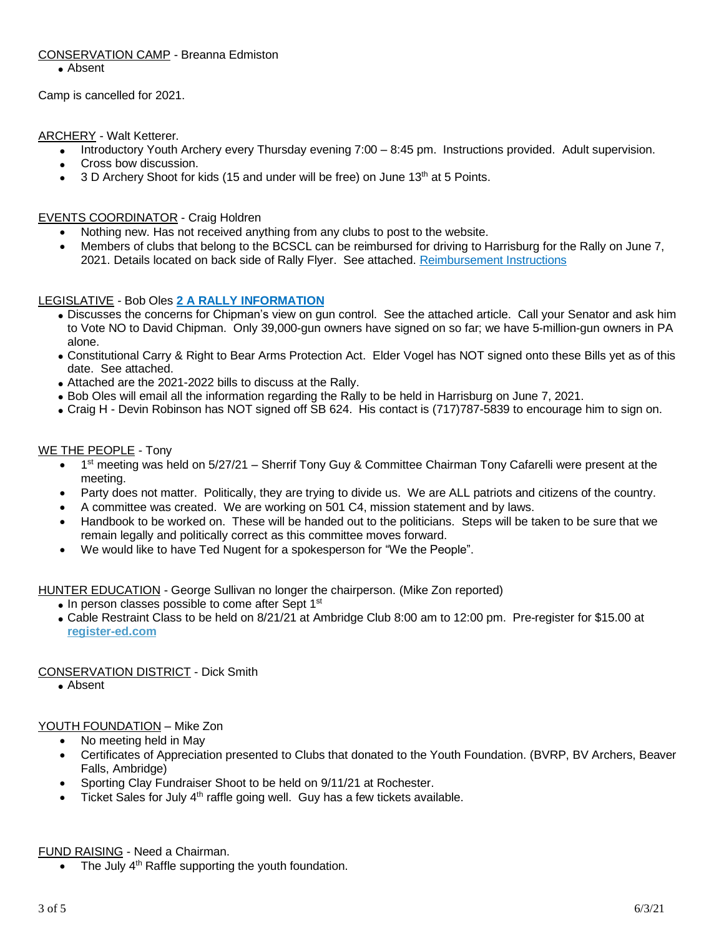# CONSERVATION CAMP - Breanna Edmiston

• Absent

Camp is cancelled for 2021.

ARCHERY - Walt Ketterer.

- Introductory Youth Archery every Thursday evening 7:00 8:45 pm. Instructions provided. Adult supervision.
- Cross bow discussion.
- $\bullet$  3 D Archery Shoot for kids (15 and under will be free) on June 13<sup>th</sup> at 5 Points.

# EVENTS COORDINATOR - Craig Holdren

- Nothing new. Has not received anything from any clubs to post to the website.
- Members of clubs that belong to the BCSCL can be reimbursed for driving to Harrisburg for the Rally on June 7, 2021. Details located on back side of Rally Flyer. See attached. [Reimbursement](https://drive.google.com/file/d/16hzIyfXUqaqXgxacNzIriq6h7UmpX4A9/view?usp=sharing) Instructions

# LEGISLATIVE - Bob Oles **2 A RALLY [INFORMATION](https://drive.google.com/file/d/1FmV9bSVlyehThVMTKPOBcBfSM81AXLev/view?usp=sharing)**

- Discusses the concerns for Chipman's view on gun control. See the attached article. Call your Senator and ask him to Vote NO to David Chipman. Only 39,000-gun owners have signed on so far; we have 5-million-gun owners in PA alone.
- Constitutional Carry & Right to Bear Arms Protection Act. Elder Vogel has NOT signed onto these Bills yet as of this date. See attached.
- Attached are the 2021-2022 bills to discuss at the Rally.
- Bob Oles will email all the information regarding the Rally to be held in Harrisburg on June 7, 2021.
- Craig H Devin Robinson has NOT signed off SB 624. His contact is (717)787-5839 to encourage him to sign on.

#### WE THE PEOPLE - Tony

- 1<sup>st</sup> meeting was held on 5/27/21 Sherrif Tony Guy & Committee Chairman Tony Cafarelli were present at the meeting.
- Party does not matter. Politically, they are trying to divide us. We are ALL patriots and citizens of the country.
- A committee was created. We are working on 501 C4, mission statement and by laws.
- Handbook to be worked on. These will be handed out to the politicians. Steps will be taken to be sure that we remain legally and politically correct as this committee moves forward.
- We would like to have Ted Nugent for a spokesperson for "We the People".

HUNTER EDUCATION - George Sullivan no longer the chairperson. (Mike Zon reported)

- In person classes possible to come after Sept 1<sup>st</sup>
- Cable Restraint Class to be held on 8/21/21 at Ambridge Club 8:00 am to 12:00 pm. Pre-register for \$15.00 at **<register-ed.com>**

# CONSERVATION DISTRICT - Dick Smith

• Absent

# YOUTH FOUNDATION – Mike Zon

- No meeting held in May
- Certificates of Appreciation presented to Clubs that donated to the Youth Foundation. (BVRP, BV Archers, Beaver Falls, Ambridge)
- Sporting Clay Fundraiser Shoot to be held on 9/11/21 at Rochester.
- $\bullet$  Ticket Sales for July 4<sup>th</sup> raffle going well. Guy has a few tickets available.

#### FUND RAISING - Need a Chairman.

 $\bullet$  The July 4<sup>th</sup> Raffle supporting the youth foundation.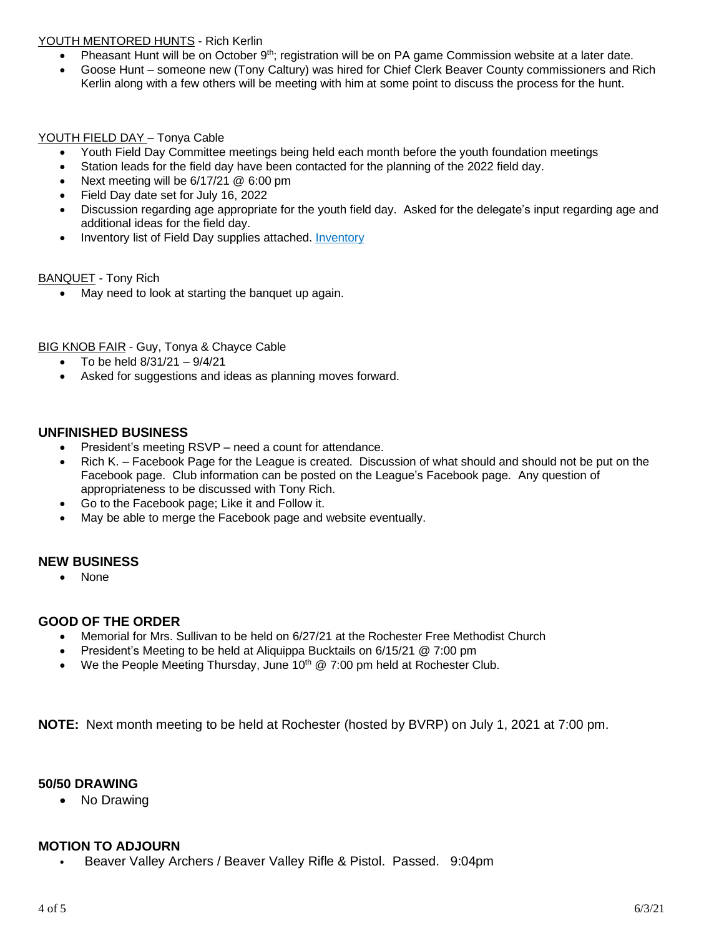# YOUTH MENTORED HUNTS - Rich Kerlin

- Pheasant Hunt will be on October 9<sup>th</sup>; registration will be on PA game Commission website at a later date.
- Goose Hunt someone new (Tony Caltury) was hired for Chief Clerk Beaver County commissioners and Rich Kerlin along with a few others will be meeting with him at some point to discuss the process for the hunt.

# YOUTH FIELD DAY - Tonya Cable

- Youth Field Day Committee meetings being held each month before the youth foundation meetings
- Station leads for the field day have been contacted for the planning of the 2022 field day.
- Next meeting will be 6/17/21 @ 6:00 pm
- Field Day date set for July 16, 2022
- Discussion regarding age appropriate for the youth field day. Asked for the delegate's input regarding age and additional ideas for the field day.
- [Inventory](https://drive.google.com/file/d/1q8cAxX0VXMQ4mbDOhw6atl6mx58gS5UB/view?usp=sharing) list of Field Day supplies attached. Inventory

#### **BANQUET** - Tony Rich

• May need to look at starting the banquet up again.

**BIG KNOB FAIR - Guy, Tonya & Chayce Cable** 

- To be held  $8/31/21 9/4/21$
- Asked for suggestions and ideas as planning moves forward.

# **UNFINISHED BUSINESS**

- President's meeting RSVP need a count for attendance.
- Rich K. Facebook Page for the League is created. Discussion of what should and should not be put on the Facebook page. Club information can be posted on the League's Facebook page. Any question of appropriateness to be discussed with Tony Rich.
- Go to the Facebook page; Like it and Follow it.
- May be able to merge the Facebook page and website eventually.

# **NEW BUSINESS**

• None

# **GOOD OF THE ORDER**

- Memorial for Mrs. Sullivan to be held on 6/27/21 at the Rochester Free Methodist Church
- President's Meeting to be held at Aliquippa Bucktails on 6/15/21 @ 7:00 pm
- We the People Meeting Thursday, June  $10^{th}$  @ 7:00 pm held at Rochester Club.

**NOTE:** Next month meeting to be held at Rochester (hosted by BVRP) on July 1, 2021 at 7:00 pm.

# **50/50 DRAWING**

• No Drawing

# **MOTION TO ADJOURN**

• Beaver Valley Archers / Beaver Valley Rifle & Pistol. Passed. 9:04pm